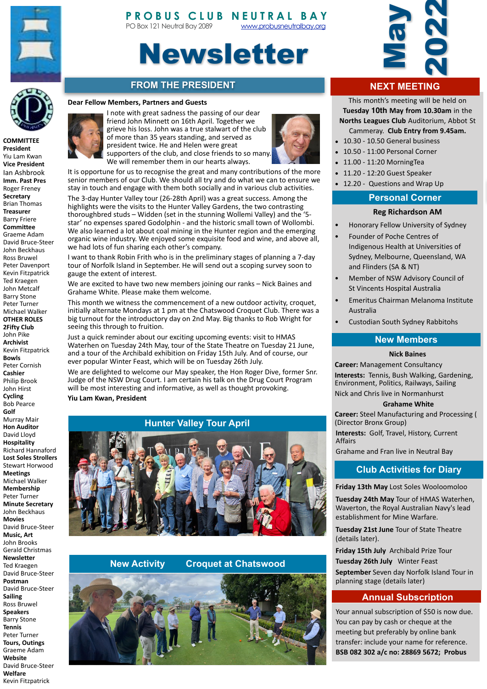



# Newsletter

# **FROM THE PRESIDENT**

#### **Dear Fellow Members, Partners and Guests**



**President** Yiu Lam Kwan **Vice President**  Ian Ashbrook **Imm. Past Pres Roger Freney Secretary** Brian Thomas **Treasurer** Barry Friere **Committee** Graeme Adam David Bruce-Steer John Beckhaus Ross Bruwel Peter Davenport Kevin Fitzpatrick Ted Kraegen John Metcalf Barry Stone Peter Turner Michael Walker **OTHER ROLES 2Fifty Club** John Pike **Archivist**  Kevin Fitzpatrick **Bowls** Peter Cornish **Cashier** Philip Brook John Hirst **Cycling** Bob Pearce **Golf** Murray Mair **Hon Auditor** David Lloyd **Hospitality** Richard Hannaford **Lost Soles Strollers** Stewart Horwood **Meetings** Michael Walker **Membership** Peter Turner **Minute Secretary** John Beckhaus **Movies** David Bruce-Steer **Music, Art** John Brooks Gerald Christmas **Newsletter** Ted Kraegen David Bruce-Steer **Postman** David Bruce-Steer **Sailing** Ross Bruwel **Speakers Barry Stone Tennis** Peter Turner **Tours, Outings** Graeme Adam **Website** David Bruce-Steer **Welfare** 

Kevin Fitzpatrick 





It is opportune for us to recognise the great and many contributions of the more senior members of our Club. We should all try and do what we can to ensure we stay in touch and engage with them both socially and in various club activities.

The 3-day Hunter Valley tour (26-28th April) was a great success. Among the highlights were the visits to the Hunter Valley Gardens, the two contrasting thoroughbred studs - Widden (set in the stunning Wollemi Valley) and the '5star' no expenses spared Godolphin - and the historic small town of Wollombi. We also learned a lot about coal mining in the Hunter region and the emerging organic wine industry. We enjoyed some exquisite food and wine, and above all, we had lots of fun sharing each other's company.

I want to thank Robin Frith who is in the preliminary stages of planning a 7-day tour of Norfolk Island in September. He will send out a scoping survey soon to gauge the extent of interest.

We are excited to have two new members joining our ranks - Nick Baines and Grahame White. Please make them welcome.

This month we witness the commencement of a new outdoor activity, croquet, initially alternate Mondays at 1 pm at the Chatswood Croquet Club. There was a big turnout for the introductory day on 2nd May. Big thanks to Rob Wright for seeing this through to fruition.

Just a quick reminder about our exciting upcoming events: visit to HMAS Waterhen on Tuesday 24th May, tour of the State Theatre on Tuesday 21 June, and a tour of the Archibald exhibition on Friday 15th July. And of course, our ever popular Winter Feast, which will be on Tuesday 26th July.

We are delighted to welcome our May speaker, the Hon Roger Dive, former Snr. Judge of the NSW Drug Court. I am certain his talk on the Drug Court Program will be most interesting and informative, as well as thought provoking.

**Yiu Lam Kwan, President** 

# **Hunter Valley Tour April**



## **New Activity Croquet at Chatswood**





# **NEXT MEETING**

This month's meeting will be held on **Tuesday 10th May from 10.30am** in the **Norths Leagues Club** Auditorium, Abbot St Cammeray. Club Entry from 9.45am.

- 10.30 10.50 General business
- 10.50 11:00 Personal Corner
- 11.00 - 11:20 MorningTea
- $\bullet$  11.20 12:20 Guest Speaker
- 12.20 Questions and Wrap Up

## **Personal Corner**

#### **Reg Richardson AM**

- Honorary Fellow University of Sydney
- Founder of Poche Centres of Indigenous Health at Universities of Sydney, Melbourne, Queensland, WA and Flinders (SA & NT)
- Member of NSW Advisory Council of St Vincents Hospital Australia
- Emeritus Chairman Melanoma Institute Australia
- Custodian South Sydney Rabbitohs

### **New Members**

#### **Nick Baines**

**Career:** Management Consultancy **Interests:** Tennis, Bush Walking, Gardening, Environment, Politics, Railways, Sailing Nick and Chris live in Normanhurst

#### **Grahame White**

**Career:** Steel Manufacturing and Processing ( (Director Bronx Group) **Interests:** Golf, Travel, History, Current

Affairs 

# **Club Activities for Diary**

#### **Friday 13th May** Lost Soles Wooloomoloo

**Tuesday 24th May Tour of HMAS Waterhen,** Waverton, the Royal Australian Navy's lead establishment for Mine Warfare.

**Tuesday 21st June Tour of State Theatre** (details later).

**Friday 15th July** Archibald Prize Tour

**Tuesday 26th July** Winter Feast **September** Seven day Norfolk Island Tour in planning stage (details later)

## **Annual Subscription**

Your annual subscription of \$50 is now due. You can pay by cash or cheque at the meeting but preferably by online bank transfer: include your name for reference. **BSB 082 302 a/c no: 28869 5672; Probus**